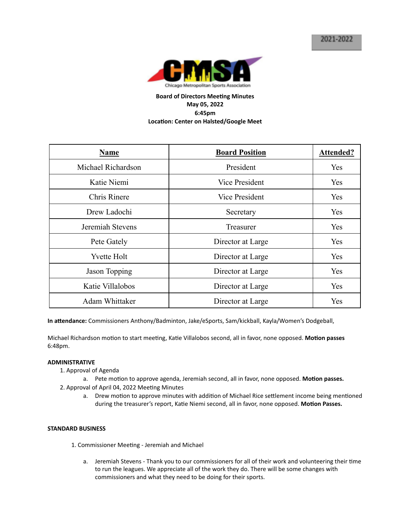

# **Board of Directors Meeting Minutes May 05, 2022 6:45pm Location: Center on Halsted/Google Meet**

| Name               | <b>Board Position</b> | Attended? |
|--------------------|-----------------------|-----------|
| Michael Richardson | President             | Yes       |
| Katie Niemi        | Vice President        | Yes       |
| Chris Rinere       | Vice President        | Yes       |
| Drew Ladochi       | Secretary             | Yes       |
| Jeremiah Stevens   | Treasurer             | Yes       |
| Pete Gately        | Director at Large     | Yes       |
| <b>Yvette Holt</b> | Director at Large     | Yes       |
| Jason Topping      | Director at Large     | Yes       |
| Katie Villalobos   | Director at Large     | Yes       |
| Adam Whittaker     | Director at Large     | Yes       |

In attendance: Commissioners Anthony/Badminton, Jake/eSports, Sam/kickball, Kayla/Women's Dodgeball,

Michael Richardson motion to start meeting, Katie Villalobos second, all in favor, none opposed. Motion passes 6:48pm.

#### **ADMINISTRATIVE**

- 1. Approval of Agenda
	- a. Pete motion to approve agenda, Jeremiah second, all in favor, none opposed. Motion passes.
- 2. Approval of April 04, 2022 Meeting Minutes
	- a. Drew motion to approve minutes with addition of Michael Rice settlement income being mentioned during the treasurer's report, Katie Niemi second, all in favor, none opposed. Motion Passes.

### **STANDARD BUSINESS**

- 1. Commissioner Meeting Jeremiah and Michael
	- a. Jeremiah Stevens Thank you to our commissioners for all of their work and volunteering their time to run the leagues. We appreciate all of the work they do. There will be some changes with commissioners and what they need to be doing for their sports.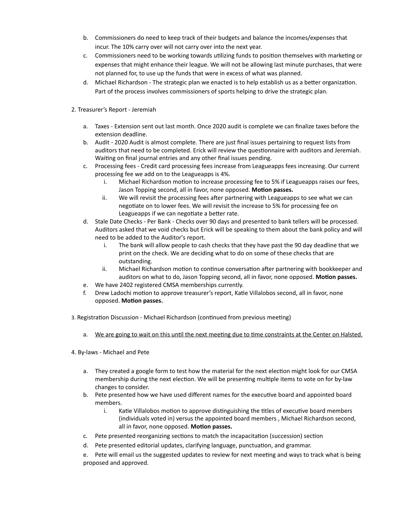- b. Commissioners do need to keep track of their budgets and balance the incomes/expenses that incur. The 10% carry over will not carry over into the next year.
- c. Commissioners need to be working towards utilizing funds to position themselves with marketing or expenses that might enhance their league. We will not be allowing last minute purchases, that were not planned for, to use up the funds that were in excess of what was planned.
- d. Michael Richardson The strategic plan we enacted is to help establish us as a better organization. Part of the process involves commissioners of sports helping to drive the strategic plan.
- 2. Treasurer's Report Jeremiah
	- a. Taxes Extension sent out last month. Once 2020 audit is complete we can finalize taxes before the extension deadline.
	- b. Audit 2020 Audit is almost complete. There are just final issues pertaining to request lists from auditors that need to be completed. Erick will review the questionnaire with auditors and Jeremiah. Waiting on final journal entries and any other final issues pending.
	- c. Processing fees Credit card processing fees increase from Leagueapps fees increasing. Our current processing fee we add on to the Leagueapps is 4%.
		- i. Michael Richardson motion to increase processing fee to 5% if Leagueapps raises our fees, Jason Topping second, all in favor, none opposed. Motion passes.
		- ii. We will revisit the processing fees after partnering with Leagueapps to see what we can negotiate on to lower fees. We will revisit the increase to 5% for processing fee on Leagueapps if we can negotiate a better rate.
	- d. Stale Date Checks Per Bank Checks over 90 days and presented to bank tellers will be processed. Auditors asked that we void checks but Erick will be speaking to them about the bank policy and will need to be added to the Auditor's report.
		- i. The bank will allow people to cash checks that they have past the 90 day deadline that we print on the check. We are deciding what to do on some of these checks that are outstanding.
		- ii. Michael Richardson motion to continue conversation after partnering with bookkeeper and auditors on what to do, Jason Topping second, all in favor, none opposed. Motion passes.
	- e. We have 2402 registered CMSA memberships currently.
	- f. Drew Ladochi motion to approve treasurer's report, Katie Villalobos second, all in favor, none opposed. Motion passes.
- 3. Registration Discussion Michael Richardson (continued from previous meeting)
	- a. We are going to wait on this until the next meeting due to time constraints at the Center on Halsted.
- 4. By-laws Michael and Pete
	- a. They created a google form to test how the material for the next election might look for our CMSA membership during the next election. We will be presenting multiple items to vote on for by-law changes to consider.
	- b. Pete presented how we have used different names for the executive board and appointed board members.
		- i. Katie Villalobos motion to approve distinguishing the titles of executive board members (individuals voted in) versus the appointed board members , Michael Richardson second, all in favor, none opposed. **Motion passes.**
	- c. Pete presented reorganizing sections to match the incapacitation (succession) section
	- d. Pete presented editorial updates, clarifying language, punctuation, and grammar.
	- e. Pete will email us the suggested updates to review for next meeting and ways to track what is being proposed and approved.